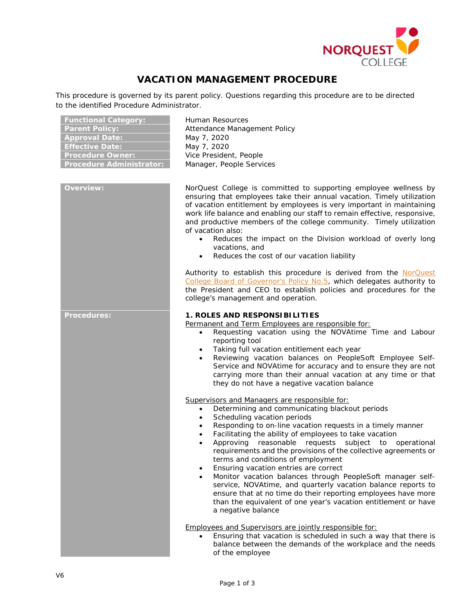

# **VACATION MANAGEMENT PROCEDURE**

This procedure is governed by its parent policy. Questions regarding this procedure are to be directed to the identified Procedure Administrator.

| <b>Functional Category:</b>     |
|---------------------------------|
| <b>Parent Policy:</b>           |
| <b>Approval Date:</b>           |
| <b>Effective Date:</b>          |
| <b>Procedure Owner:</b>         |
| <b>Procedure Administrator:</b> |

| Overview:   |
|-------------|
|             |
|             |
|             |
|             |
|             |
|             |
|             |
|             |
|             |
|             |
|             |
|             |
| Procedures: |
|             |
|             |
|             |
|             |
|             |
|             |
|             |
|             |
|             |
|             |
|             |
|             |
|             |
|             |
|             |
|             |
|             |
|             |

**Functional Category:** Human Resources **Parent Policy:** Attendance Management Policy **Approval Date:** May 7, 2020 **Effective Date:** May 7, 2020 **Vice President, People** Manager, People Services

**Overview:** NorQuest College is committed to supporting employee wellness by ensuring that employees take their annual vacation. Timely utilization of vacation entitlement by employees is very important in maintaining work life balance and enabling our staff to remain effective, responsive, and productive members of the college community. Timely utilization of vacation also:

- Reduces the impact on the Division workload of overly long vacations, and
- Reduces the cost of our vacation liability

Authority to establish this procedure is derived from the NorQuest [College Board of Governor's Policy No.5,](https://www.norquest.ca/NorquestCollege/media/pdf/about-us/board/policies-procedures/05-Board-Policy_Delegate_authority_to_President.pdf) which delegates authority to the President and CEO to establish policies and procedures for the college's management and operation.

# **Procedures: 1. ROLES AND RESPONSIBILITIES**

Permanent and Term Employees are responsible for:

- Requesting vacation using the NOVAtime Time and Labour reporting tool
- Taking full vacation entitlement each year
- Reviewing vacation balances on PeopleSoft Employee Self-Service and NOVAtime for accuracy and to ensure they are not carrying more than their annual vacation at any time or that they do not have a negative vacation balance

Supervisors and Managers are responsible for:

- Determining and communicating blackout periods
- Scheduling vacation periods
- Responding to on-line vacation requests in a timely manner
- Facilitating the ability of employees to take vacation
- Approving reasonable requests subject to operational requirements and the provisions of the collective agreements or terms and conditions of employment
- Ensuring vacation entries are correct
- Monitor vacation balances through PeopleSoft manager selfservice, NOVAtime, and quarterly vacation balance reports to ensure that at no time do their reporting employees have more than the equivalent of one year's vacation entitlement or have a negative balance

Employees and Supervisors are jointly responsible for:

• Ensuring that vacation is scheduled in such a way that there is balance between the demands of the workplace and the needs of the employee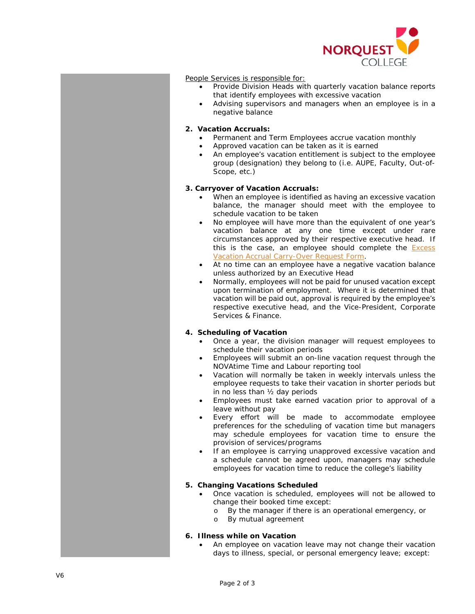

#### People Services is responsible for:

- Provide Division Heads with quarterly vacation balance reports that identify employees with excessive vacation
	- Advising supervisors and managers when an employee is in a negative balance

## **2. Vacation Accruals:**

- Permanent and Term Employees accrue vacation monthly
- Approved vacation can be taken as it is earned
- An employee's vacation entitlement is subject to the employee group (designation) they belong to (i.e. AUPE, Faculty, Out -of - Scope, etc.)

## **3. Carryover of Vacation Accruals:**

- When an employee is identified as having an excessive vacation balance , the manager should meet with the employee to schedule vacation to be taken
- No employee will have more than the equivalent of one year's vacation balance at any one time except under rare circumstances approved by their respective executive head. If this is the case, an employee should complete the **Excess** [Vacation Accrual Carry](http://theq.norquest.ca/Departments/WDHR/Public-Documents/Forms/Excess-Vacation-Accrual-Carry-Over-Request-Form.aspx) -Over Request Form .
- At no time can an employee have a negative vacation balance unless authorized by an Executive Head
- Normally, employees will not be paid for unused vacation except upon termination of employment. Where it is determined that vacation will be paid out, approval is required by the employee's respective executive head, and the Vice -President , Corporate Services & Finance .

# **4. Scheduling of Vacation**

- Once a year, the division manager will request employees to schedule their vacation periods
- Employees will submit an on -line vacation request through the NOVAtime Time and Labour reporting tool
- Vacation will normally be taken in weekly intervals unless the employee requests to take their vacation in shorter periods but in no less than ½ day periods
- Employees must take earned vacation prior to approval of a leave without pay
- Every effort will be made to accommodate employee preferences for the scheduling of vacation time but managers may schedule employees for vacation time to ensure the provision of services/programs
- If an employee is carrying unapproved excessive vacation and a schedule cannot be agreed upon, managers may schedule employees for vacation time to reduce the college's liability

#### **5. Changing Vacations Scheduled**

- Once vacation is scheduled, employees will not be allowed to change their booked time except:
	- o By the manager if there is an operational emergency, or  $\circ$  By mutual agreement
	- By mutual agreement

# **6. Illness while on Vacation**

An employee on vacation leave may not change their vacation days to illness, special, or personal emergency leave; except: